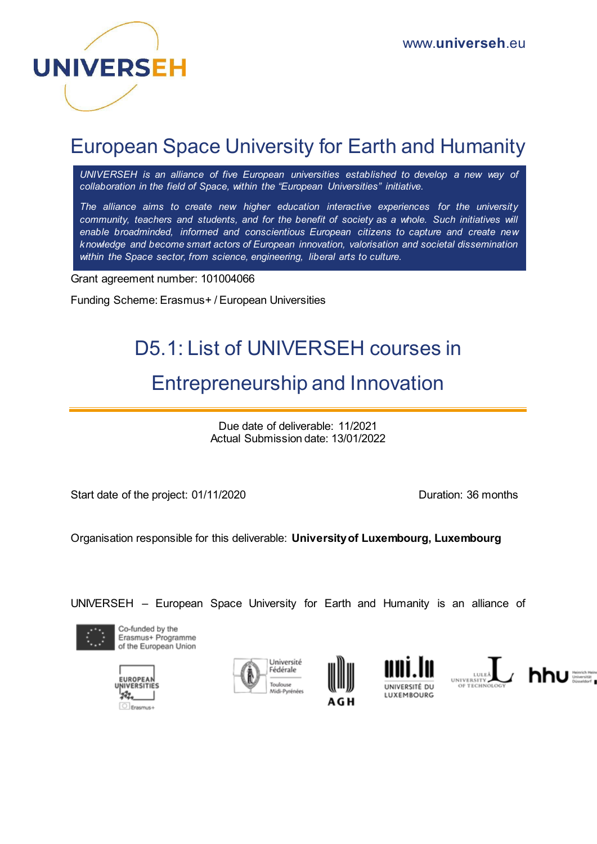

# European Space University for Earth and Humanity

*UNIVERSEH is an alliance of five European universities established to develop a new way of collaboration in the field of Space, within the "European Universities" initiative.*

*The alliance aims to create new higher education interactive experiences for the university*  community, teachers and students, and for the benefit of society as a whole. Such initiatives will *enable broadminded, informed and conscientious European citizens to capture and create new knowledge and become smart actors of European innovation, valorisation and societal dissemination within the Space sector, from science, engineering, liberal arts to culture.*

Grant agreement number: 101004066

Funding Scheme: Erasmus+ / European Universities

## D5.1: List of UNIVERSEH courses in

## Entrepreneurship and Innovation

Due date of deliverable: 11/2021 Actual Submission date: 13/01/2022

Start date of the project: 01/11/2020 Duration: 36 months

Organisation responsible for this deliverable: **University of Luxembourg, Luxembourg**

UNIVERSEH – European Space University for Earth and Humanity is an alliance of



Co-funded by the Erasmus+ Programme of the European Union